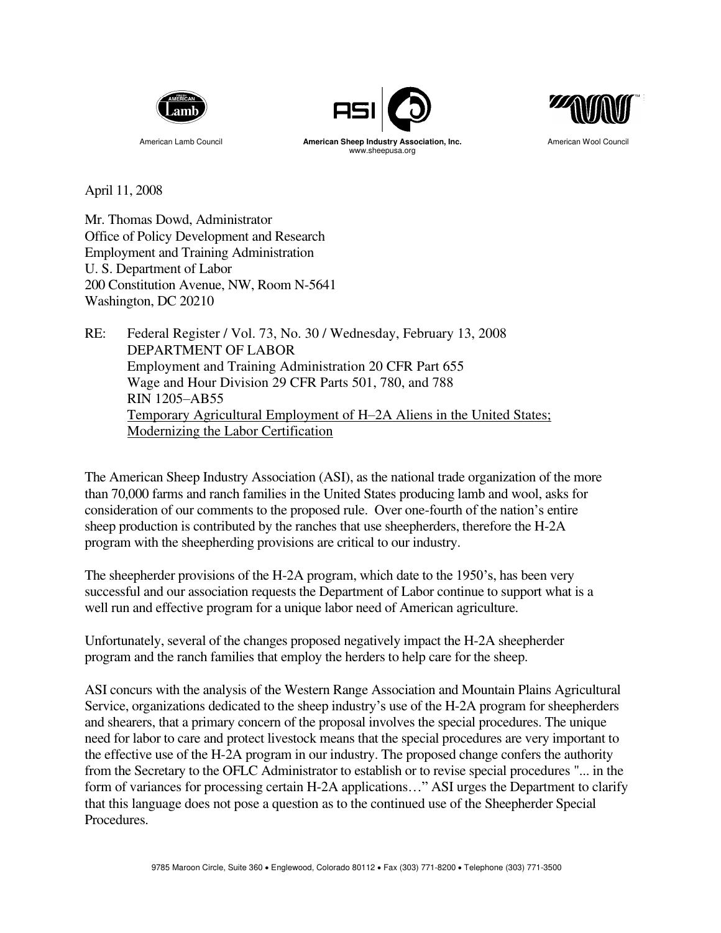





American Lamb Council **American Sheep Industry Association, Inc.** American Wool Council www.sheepusa.org

April 11, 2008

Mr. Thomas Dowd, Administrator Office of Policy Development and Research Employment and Training Administration U. S. Department of Labor 200 Constitution Avenue, NW, Room N-5641 Washington, DC 20210

RE: Federal Register / Vol. 73, No. 30 / Wednesday, February 13, 2008 DEPARTMENT OF LABOR Employment and Training Administration 20 CFR Part 655 Wage and Hour Division 29 CFR Parts 501, 780, and 788 RIN 1205–AB55 Temporary Agricultural Employment of H–2A Aliens in the United States; Modernizing the Labor Certification

The American Sheep Industry Association (ASI), as the national trade organization of the more than 70,000 farms and ranch families in the United States producing lamb and wool, asks for consideration of our comments to the proposed rule. Over one-fourth of the nation's entire sheep production is contributed by the ranches that use sheepherders, therefore the H-2A program with the sheepherding provisions are critical to our industry.

The sheepherder provisions of the H-2A program, which date to the 1950's, has been very successful and our association requests the Department of Labor continue to support what is a well run and effective program for a unique labor need of American agriculture.

Unfortunately, several of the changes proposed negatively impact the H-2A sheepherder program and the ranch families that employ the herders to help care for the sheep.

ASI concurs with the analysis of the Western Range Association and Mountain Plains Agricultural Service, organizations dedicated to the sheep industry's use of the H-2A program for sheepherders and shearers, that a primary concern of the proposal involves the special procedures. The unique need for labor to care and protect livestock means that the special procedures are very important to the effective use of the H-2A program in our industry. The proposed change confers the authority from the Secretary to the OFLC Administrator to establish or to revise special procedures "... in the form of variances for processing certain H-2A applications…" ASI urges the Department to clarify that this language does not pose a question as to the continued use of the Sheepherder Special Procedures.